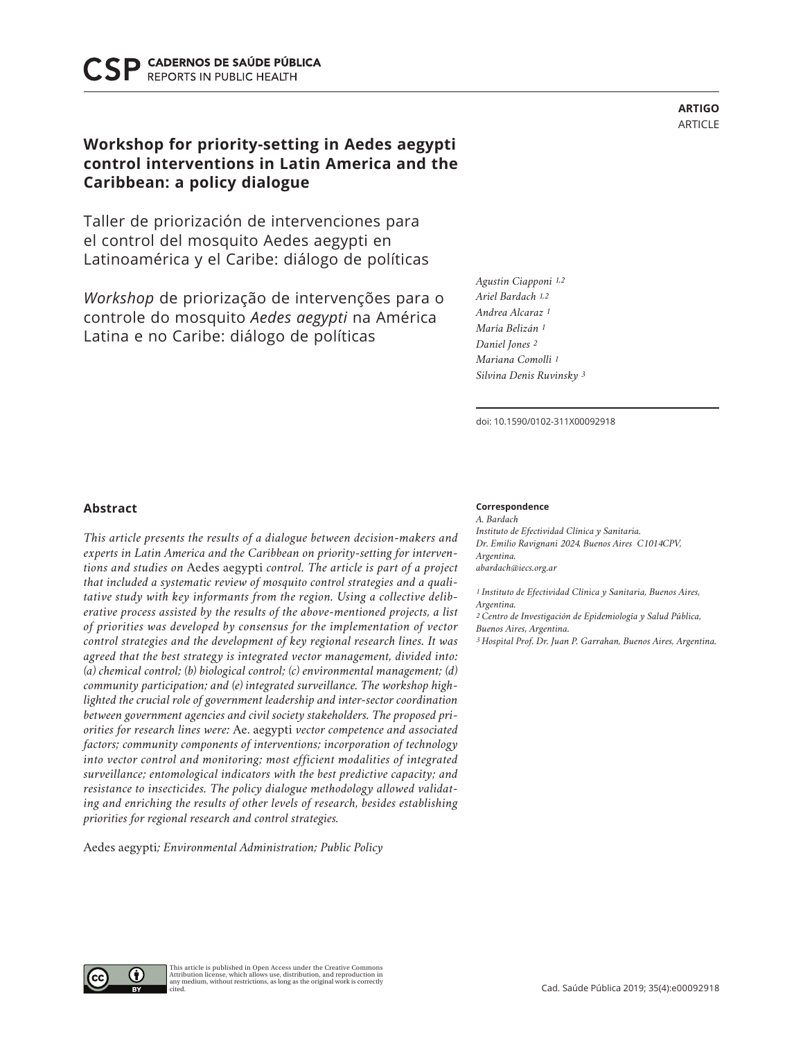CADERNOS DE SAÚDE PÚBLICA **REPORTS IN PUBLIC HEALTH** 

# **Workshop for priority-setting in Aedes aegypti control interventions in Latin America and the Caribbean: a policy dialogue**

Taller de priorización de intervenciones para el control del mosquito Aedes aegypti en Latinoamérica y el Caribe: diálogo de políticas

*Workshop* de priorização de intervenções para o controle do mosquito *Aedes aegypti* na América Latina e no Caribe: diálogo de políticas

*Agustin Ciapponi 1,2 Ariel Bardach 1,2 Andrea Alcaraz 1 María Belizán 1 Daniel Jones 2 Mariana Comolli 1 Silvina Denis Ruvinsky 3*

doi: 10.1590/0102-311X00092918

## **Abstract**

*This article presents the results of a dialogue between decision-makers and experts in Latin America and the Caribbean on priority-setting for interventions and studies on* Aedes aegypti *control. The article is part of a project that included a systematic review of mosquito control strategies and a qualitative study with key informants from the region. Using a collective deliberative process assisted by the results of the above-mentioned projects, a list of priorities was developed by consensus for the implementation of vector control strategies and the development of key regional research lines. It was agreed that the best strategy is integrated vector management, divided into: (a) chemical control; (b) biological control; (c) environmental management; (d) community participation; and (e) integrated surveillance. The workshop highlighted the crucial role of government leadership and inter-sector coordination between government agencies and civil society stakeholders. The proposed priorities for research lines were:* Ae. aegypti *vector competence and associated factors; community components of interventions; incorporation of technology into vector control and monitoring; most efficient modalities of integrated surveillance; entomological indicators with the best predictive capacity; and resistance to insecticides. The policy dialogue methodology allowed validating and enriching the results of other levels of research, besides establishing priorities for regional research and control strategies.* 

Aedes aegypti*; Environmental Administration; Public Policy*

#### **Correspondence**

*A. Bardach Instituto de Efectividad Clínica y Sanitaria. Dr. Emilio Ravignani 2024, Buenos Aires C1014CPV, Argentina. abardach@iecs.org.ar*

*1 Instituto de Efectividad Clínica y Sanitaria, Buenos Aires, Argentina.*

*2 Centro de Investigación de Epidemiología y Salud Pública, Buenos Aires, Argentina.*

*3 Hospital Prof. Dr. Juan P. Garrahan, Buenos Aires, Argentina.*

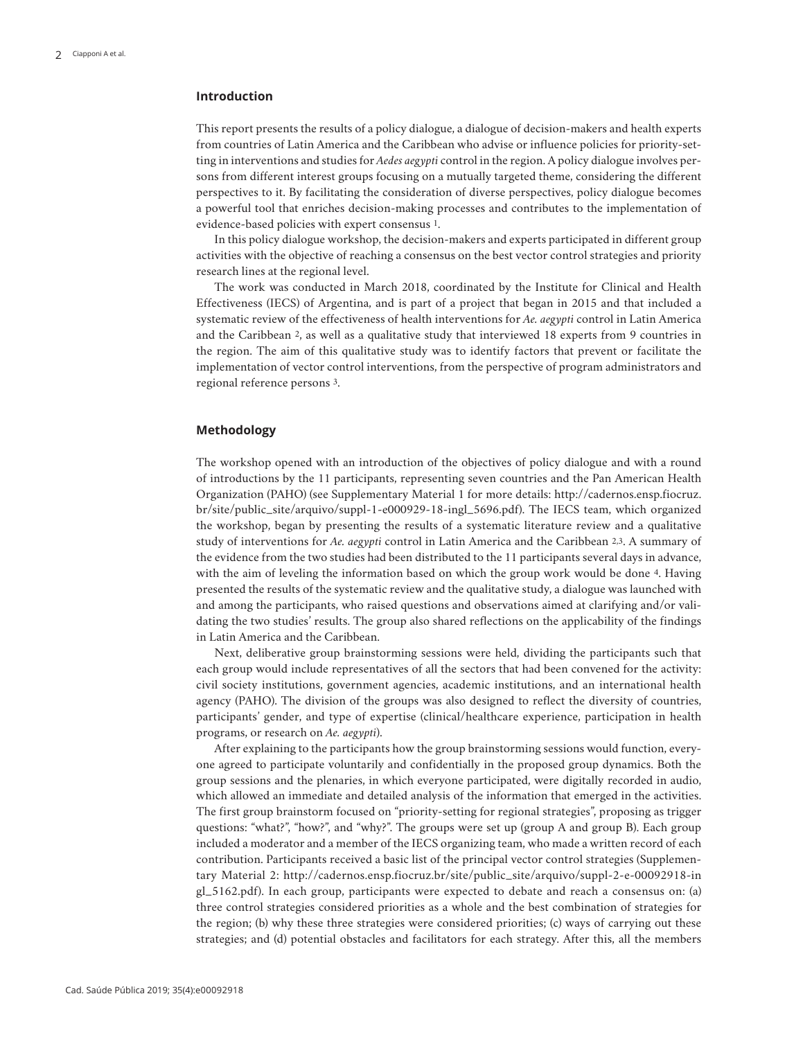## **Introduction**

This report presents the results of a policy dialogue, a dialogue of decision-makers and health experts from countries of Latin America and the Caribbean who advise or influence policies for priority-setting in interventions and studies for *Aedes aegypti* control in the region. A policy dialogue involves persons from different interest groups focusing on a mutually targeted theme, considering the different perspectives to it. By facilitating the consideration of diverse perspectives, policy dialogue becomes a powerful tool that enriches decision-making processes and contributes to the implementation of evidence-based policies with expert consensus 1.

In this policy dialogue workshop, the decision-makers and experts participated in different group activities with the objective of reaching a consensus on the best vector control strategies and priority research lines at the regional level.

The work was conducted in March 2018, coordinated by the Institute for Clinical and Health Effectiveness (IECS) of Argentina, and is part of a project that began in 2015 and that included a systematic review of the effectiveness of health interventions for *Ae. aegypti* control in Latin America and the Caribbean 2, as well as a qualitative study that interviewed 18 experts from 9 countries in the region. The aim of this qualitative study was to identify factors that prevent or facilitate the implementation of vector control interventions, from the perspective of program administrators and regional reference persons 3.

## **Methodology**

The workshop opened with an introduction of the objectives of policy dialogue and with a round of introductions by the 11 participants, representing seven countries and the Pan American Health Organization (PAHO) (see Supplementary Material 1 for more details: http://cadernos.ensp.fiocruz. br/site/public\_site/arquivo/suppl-1-e000929-18-ingl\_5696.pdf). The IECS team, which organized the workshop, began by presenting the results of a systematic literature review and a qualitative study of interventions for *Ae. aegypti* control in Latin America and the Caribbean 2,3. A summary of the evidence from the two studies had been distributed to the 11 participants several days in advance, with the aim of leveling the information based on which the group work would be done 4. Having presented the results of the systematic review and the qualitative study, a dialogue was launched with and among the participants, who raised questions and observations aimed at clarifying and/or validating the two studies' results. The group also shared reflections on the applicability of the findings in Latin America and the Caribbean.

Next, deliberative group brainstorming sessions were held, dividing the participants such that each group would include representatives of all the sectors that had been convened for the activity: civil society institutions, government agencies, academic institutions, and an international health agency (PAHO). The division of the groups was also designed to reflect the diversity of countries, participants' gender, and type of expertise (clinical/healthcare experience, participation in health programs, or research on *Ae. aegypti*).

After explaining to the participants how the group brainstorming sessions would function, everyone agreed to participate voluntarily and confidentially in the proposed group dynamics. Both the group sessions and the plenaries, in which everyone participated, were digitally recorded in audio, which allowed an immediate and detailed analysis of the information that emerged in the activities. The first group brainstorm focused on "priority-setting for regional strategies", proposing as trigger questions: "what?", "how?", and "why?". The groups were set up (group A and group B). Each group included a moderator and a member of the IECS organizing team, who made a written record of each contribution. Participants received a basic list of the principal vector control strategies (Supplementary Material 2: http://cadernos.ensp.fiocruz.br/site/public\_site/arquivo/suppl-2-e-00092918-in gl\_5162.pdf). In each group, participants were expected to debate and reach a consensus on: (a) three control strategies considered priorities as a whole and the best combination of strategies for the region; (b) why these three strategies were considered priorities; (c) ways of carrying out these strategies; and (d) potential obstacles and facilitators for each strategy. After this, all the members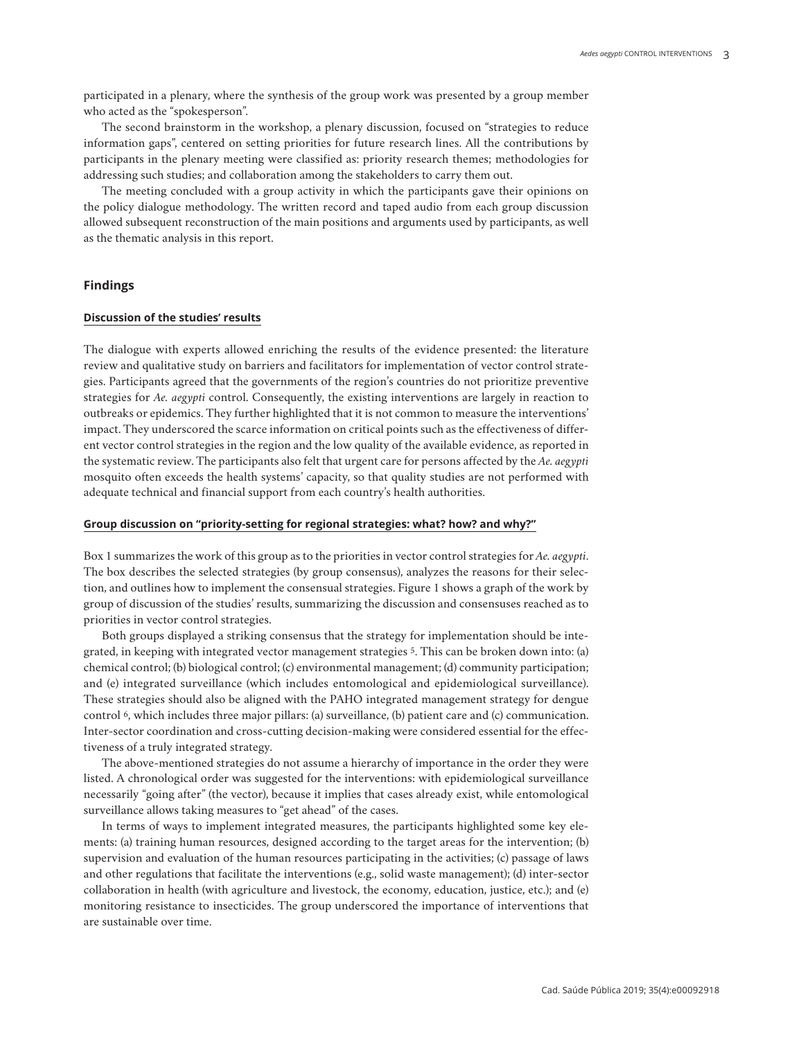participated in a plenary, where the synthesis of the group work was presented by a group member who acted as the "spokesperson".

The second brainstorm in the workshop, a plenary discussion, focused on "strategies to reduce information gaps", centered on setting priorities for future research lines. All the contributions by participants in the plenary meeting were classified as: priority research themes; methodologies for addressing such studies; and collaboration among the stakeholders to carry them out.

The meeting concluded with a group activity in which the participants gave their opinions on the policy dialogue methodology. The written record and taped audio from each group discussion allowed subsequent reconstruction of the main positions and arguments used by participants, as well as the thematic analysis in this report.

## **Findings**

## **Discussion of the studies' results**

The dialogue with experts allowed enriching the results of the evidence presented: the literature review and qualitative study on barriers and facilitators for implementation of vector control strategies. Participants agreed that the governments of the region's countries do not prioritize preventive strategies for *Ae. aegypti* control. Consequently, the existing interventions are largely in reaction to outbreaks or epidemics. They further highlighted that it is not common to measure the interventions' impact. They underscored the scarce information on critical points such as the effectiveness of different vector control strategies in the region and the low quality of the available evidence, as reported in the systematic review. The participants also felt that urgent care for persons affected by the *Ae. aegypti* mosquito often exceeds the health systems' capacity, so that quality studies are not performed with adequate technical and financial support from each country's health authorities.

#### **Group discussion on "priority-setting for regional strategies: what? how? and why?"**

Box 1 summarizes the work of this group as to the priorities in vector control strategies for *Ae. aegypti*. The box describes the selected strategies (by group consensus), analyzes the reasons for their selection, and outlines how to implement the consensual strategies. Figure 1 shows a graph of the work by group of discussion of the studies' results, summarizing the discussion and consensuses reached as to priorities in vector control strategies.

Both groups displayed a striking consensus that the strategy for implementation should be integrated, in keeping with integrated vector management strategies 5. This can be broken down into: (a) chemical control; (b) biological control; (c) environmental management; (d) community participation; and (e) integrated surveillance (which includes entomological and epidemiological surveillance). These strategies should also be aligned with the PAHO integrated management strategy for dengue control 6, which includes three major pillars: (a) surveillance, (b) patient care and (c) communication. Inter-sector coordination and cross-cutting decision-making were considered essential for the effectiveness of a truly integrated strategy.

The above-mentioned strategies do not assume a hierarchy of importance in the order they were listed. A chronological order was suggested for the interventions: with epidemiological surveillance necessarily "going after" (the vector), because it implies that cases already exist, while entomological surveillance allows taking measures to "get ahead" of the cases.

In terms of ways to implement integrated measures, the participants highlighted some key elements: (a) training human resources, designed according to the target areas for the intervention; (b) supervision and evaluation of the human resources participating in the activities; (c) passage of laws and other regulations that facilitate the interventions (e.g., solid waste management); (d) inter-sector collaboration in health (with agriculture and livestock, the economy, education, justice, etc.); and (e) monitoring resistance to insecticides. The group underscored the importance of interventions that are sustainable over time.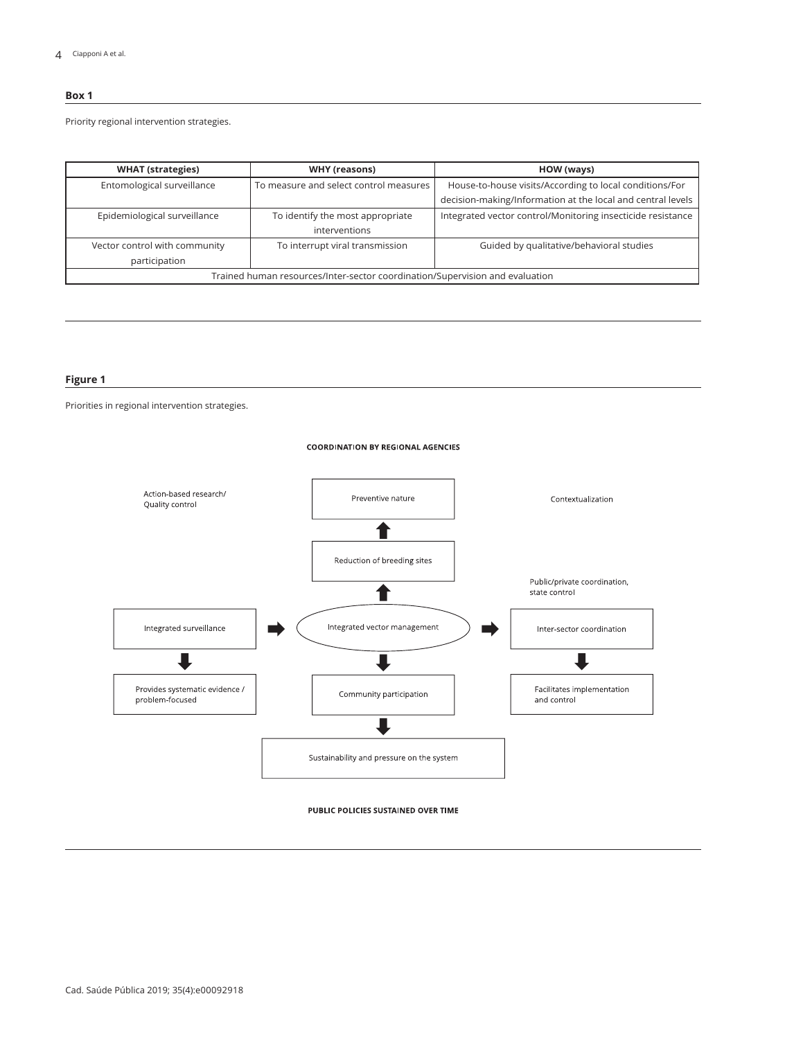## **Box 1**

Priority regional intervention strategies.

| <b>WHAT</b> (strategies)                                                     | WHY (reasons)                                     | HOW (ways)                                                  |  |
|------------------------------------------------------------------------------|---------------------------------------------------|-------------------------------------------------------------|--|
| Entomological surveillance                                                   | To measure and select control measures            | House-to-house visits/According to local conditions/For     |  |
|                                                                              |                                                   | decision-making/Information at the local and central levels |  |
| Epidemiological surveillance                                                 | To identify the most appropriate<br>interventions | Integrated vector control/Monitoring insecticide resistance |  |
| Vector control with community                                                | To interrupt viral transmission                   | Guided by qualitative/behavioral studies                    |  |
| participation                                                                |                                                   |                                                             |  |
| Trained human resources/Inter-sector coordination/Supervision and evaluation |                                                   |                                                             |  |

#### **Figure 1**

Priorities in regional intervention strategies.

#### **COORDINATION BY REGIONAL AGENCIES**



PUBLIC POLICIES SUSTAINED OVER TIME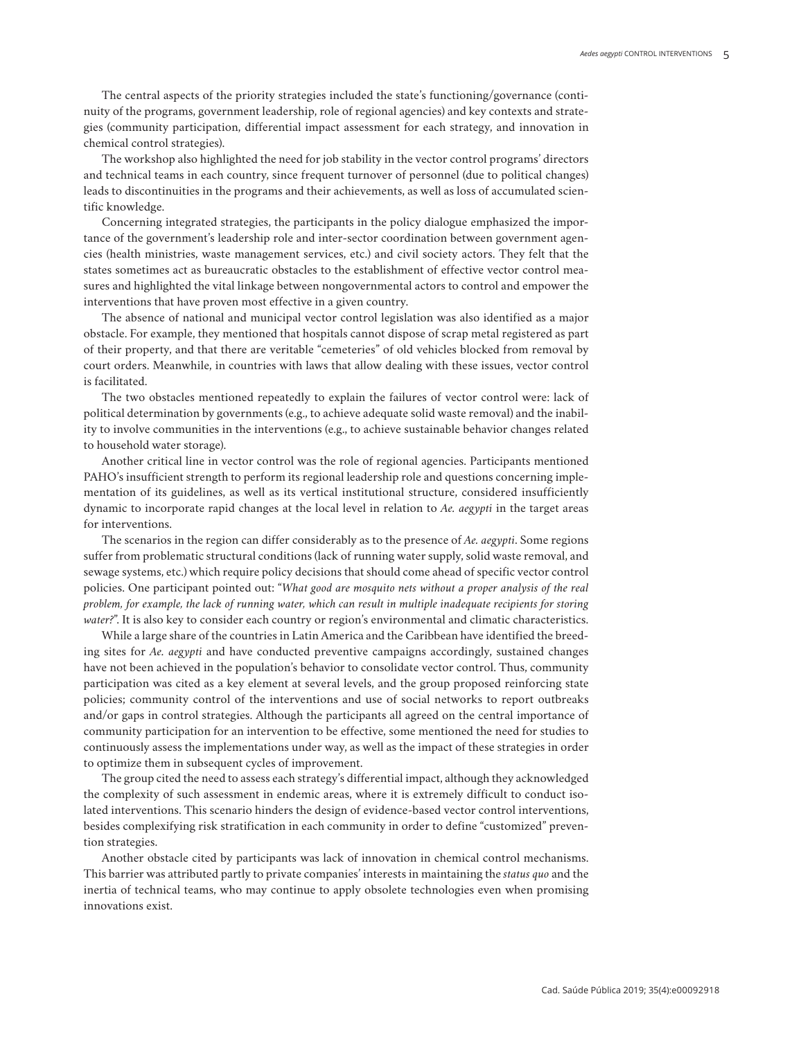The central aspects of the priority strategies included the state's functioning/governance (continuity of the programs, government leadership, role of regional agencies) and key contexts and strategies (community participation, differential impact assessment for each strategy, and innovation in chemical control strategies).

The workshop also highlighted the need for job stability in the vector control programs' directors and technical teams in each country, since frequent turnover of personnel (due to political changes) leads to discontinuities in the programs and their achievements, as well as loss of accumulated scientific knowledge.

Concerning integrated strategies, the participants in the policy dialogue emphasized the importance of the government's leadership role and inter-sector coordination between government agencies (health ministries, waste management services, etc.) and civil society actors. They felt that the states sometimes act as bureaucratic obstacles to the establishment of effective vector control measures and highlighted the vital linkage between nongovernmental actors to control and empower the interventions that have proven most effective in a given country.

The absence of national and municipal vector control legislation was also identified as a major obstacle. For example, they mentioned that hospitals cannot dispose of scrap metal registered as part of their property, and that there are veritable "cemeteries" of old vehicles blocked from removal by court orders. Meanwhile, in countries with laws that allow dealing with these issues, vector control is facilitated.

The two obstacles mentioned repeatedly to explain the failures of vector control were: lack of political determination by governments (e.g., to achieve adequate solid waste removal) and the inability to involve communities in the interventions (e.g., to achieve sustainable behavior changes related to household water storage).

Another critical line in vector control was the role of regional agencies. Participants mentioned PAHO's insufficient strength to perform its regional leadership role and questions concerning implementation of its guidelines, as well as its vertical institutional structure, considered insufficiently dynamic to incorporate rapid changes at the local level in relation to *Ae. aegypti* in the target areas for interventions.

The scenarios in the region can differ considerably as to the presence of *Ae. aegypti*. Some regions suffer from problematic structural conditions (lack of running water supply, solid waste removal, and sewage systems, etc.) which require policy decisions that should come ahead of specific vector control policies. One participant pointed out: "*What good are mosquito nets without a proper analysis of the real problem, for example, the lack of running water, which can result in multiple inadequate recipients for storing*  water?". It is also key to consider each country or region's environmental and climatic characteristics.

While a large share of the countries in Latin America and the Caribbean have identified the breeding sites for *Ae. aegypti* and have conducted preventive campaigns accordingly, sustained changes have not been achieved in the population's behavior to consolidate vector control. Thus, community participation was cited as a key element at several levels, and the group proposed reinforcing state policies; community control of the interventions and use of social networks to report outbreaks and/or gaps in control strategies. Although the participants all agreed on the central importance of community participation for an intervention to be effective, some mentioned the need for studies to continuously assess the implementations under way, as well as the impact of these strategies in order to optimize them in subsequent cycles of improvement.

The group cited the need to assess each strategy's differential impact, although they acknowledged the complexity of such assessment in endemic areas, where it is extremely difficult to conduct isolated interventions. This scenario hinders the design of evidence-based vector control interventions, besides complexifying risk stratification in each community in order to define "customized" prevention strategies.

Another obstacle cited by participants was lack of innovation in chemical control mechanisms. This barrier was attributed partly to private companies' interests in maintaining the *status quo* and the inertia of technical teams, who may continue to apply obsolete technologies even when promising innovations exist.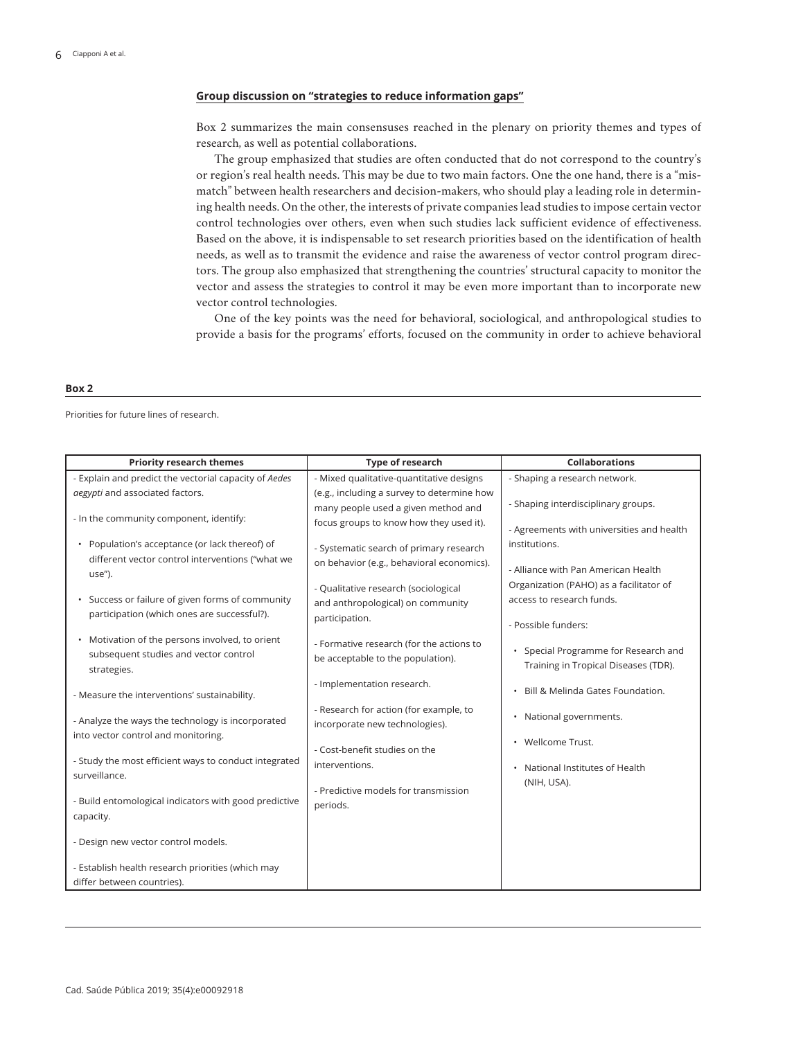#### **Group discussion on "strategies to reduce information gaps"**

Box 2 summarizes the main consensuses reached in the plenary on priority themes and types of research, as well as potential collaborations.

The group emphasized that studies are often conducted that do not correspond to the country's or region's real health needs. This may be due to two main factors. One the one hand, there is a "mismatch" between health researchers and decision-makers, who should play a leading role in determining health needs. On the other, the interests of private companies lead studies to impose certain vector control technologies over others, even when such studies lack sufficient evidence of effectiveness. Based on the above, it is indispensable to set research priorities based on the identification of health needs, as well as to transmit the evidence and raise the awareness of vector control program directors. The group also emphasized that strengthening the countries' structural capacity to monitor the vector and assess the strategies to control it may be even more important than to incorporate new vector control technologies.

One of the key points was the need for behavioral, sociological, and anthropological studies to provide a basis for the programs' efforts, focused on the community in order to achieve behavioral

#### **Box 2**

Priorities for future lines of research.

| <b>Priority research themes</b>                                                                              | Type of research                                                                            | <b>Collaborations</b>                                                                       |
|--------------------------------------------------------------------------------------------------------------|---------------------------------------------------------------------------------------------|---------------------------------------------------------------------------------------------|
| - Explain and predict the vectorial capacity of Aedes                                                        | - Mixed qualitative-quantitative designs                                                    | - Shaping a research network.                                                               |
| aegypti and associated factors.                                                                              | (e.g., including a survey to determine how                                                  |                                                                                             |
| - In the community component, identify:                                                                      | many people used a given method and<br>focus groups to know how they used it).              | - Shaping interdisciplinary groups.<br>- Agreements with universities and health            |
| • Population's acceptance (or lack thereof) of<br>different vector control interventions ("what we<br>use"). | - Systematic search of primary research<br>on behavior (e.g., behavioral economics).        | institutions.<br>- Alliance with Pan American Health                                        |
| • Success or failure of given forms of community<br>participation (which ones are successful?).              | - Qualitative research (sociological<br>and anthropological) on community<br>participation. | Organization (PAHO) as a facilitator of<br>access to research funds.<br>- Possible funders: |
| • Motivation of the persons involved, to orient<br>subsequent studies and vector control<br>strategies.      | - Formative research (for the actions to<br>be acceptable to the population).               | • Special Programme for Research and<br>Training in Tropical Diseases (TDR).                |
| - Measure the interventions' sustainability.                                                                 | - Implementation research.                                                                  | Bill & Melinda Gates Foundation.<br>$\bullet$                                               |
| - Analyze the ways the technology is incorporated<br>into vector control and monitoring.                     | - Research for action (for example, to<br>incorporate new technologies).                    | • National governments.                                                                     |
|                                                                                                              | - Cost-benefit studies on the                                                               | • Wellcome Trust.                                                                           |
| - Study the most efficient ways to conduct integrated<br>surveillance.                                       | interventions.                                                                              | National Institutes of Health                                                               |
| - Build entomological indicators with good predictive<br>capacity.                                           | - Predictive models for transmission<br>periods.                                            | (NIH, USA).                                                                                 |
| - Design new vector control models.                                                                          |                                                                                             |                                                                                             |
| - Establish health research priorities (which may<br>differ between countries).                              |                                                                                             |                                                                                             |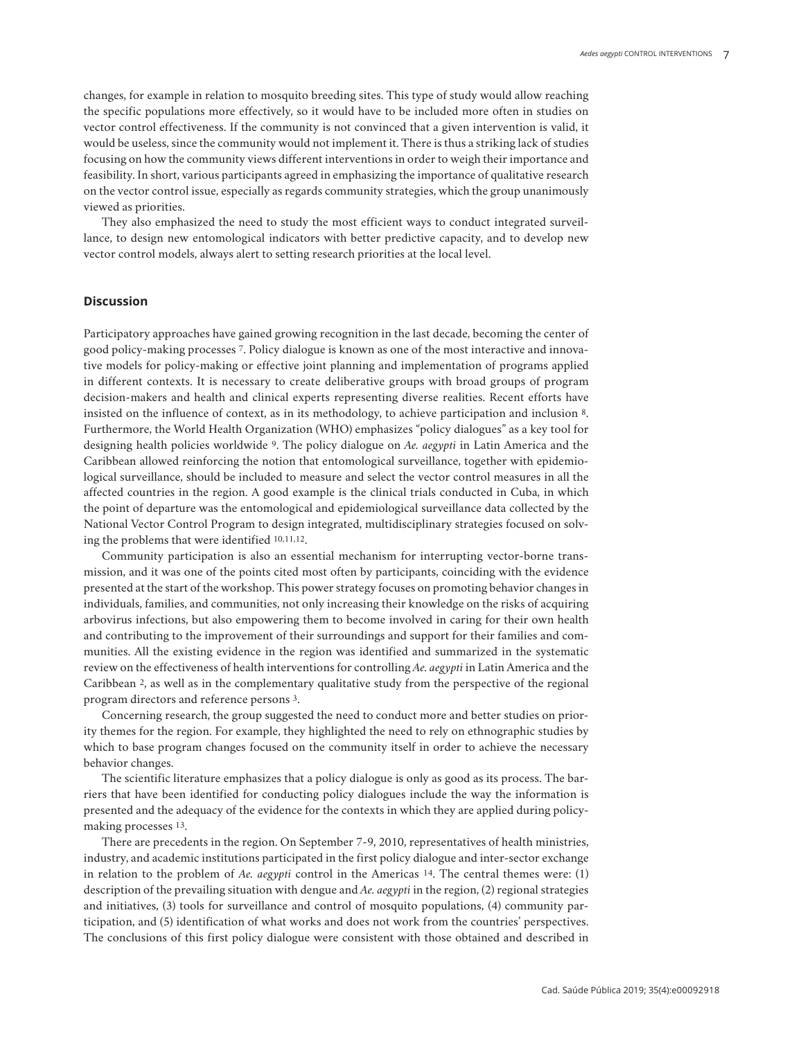changes, for example in relation to mosquito breeding sites. This type of study would allow reaching the specific populations more effectively, so it would have to be included more often in studies on vector control effectiveness. If the community is not convinced that a given intervention is valid, it would be useless, since the community would not implement it. There is thus a striking lack of studies focusing on how the community views different interventions in order to weigh their importance and feasibility. In short, various participants agreed in emphasizing the importance of qualitative research on the vector control issue, especially as regards community strategies, which the group unanimously viewed as priorities.

They also emphasized the need to study the most efficient ways to conduct integrated surveillance, to design new entomological indicators with better predictive capacity, and to develop new vector control models, always alert to setting research priorities at the local level.

## **Discussion**

Participatory approaches have gained growing recognition in the last decade, becoming the center of good policy-making processes 7. Policy dialogue is known as one of the most interactive and innovative models for policy-making or effective joint planning and implementation of programs applied in different contexts. It is necessary to create deliberative groups with broad groups of program decision-makers and health and clinical experts representing diverse realities. Recent efforts have insisted on the influence of context, as in its methodology, to achieve participation and inclusion 8. Furthermore, the World Health Organization (WHO) emphasizes "policy dialogues" as a key tool for designing health policies worldwide 9. The policy dialogue on *Ae. aegypti* in Latin America and the Caribbean allowed reinforcing the notion that entomological surveillance, together with epidemiological surveillance, should be included to measure and select the vector control measures in all the affected countries in the region. A good example is the clinical trials conducted in Cuba, in which the point of departure was the entomological and epidemiological surveillance data collected by the National Vector Control Program to design integrated, multidisciplinary strategies focused on solving the problems that were identified 10,11,12.

Community participation is also an essential mechanism for interrupting vector-borne transmission, and it was one of the points cited most often by participants, coinciding with the evidence presented at the start of the workshop. This power strategy focuses on promoting behavior changes in individuals, families, and communities, not only increasing their knowledge on the risks of acquiring arbovirus infections, but also empowering them to become involved in caring for their own health and contributing to the improvement of their surroundings and support for their families and communities. All the existing evidence in the region was identified and summarized in the systematic review on the effectiveness of health interventions for controlling *Ae. aegypti* in Latin America and the Caribbean 2, as well as in the complementary qualitative study from the perspective of the regional program directors and reference persons 3.

Concerning research, the group suggested the need to conduct more and better studies on priority themes for the region. For example, they highlighted the need to rely on ethnographic studies by which to base program changes focused on the community itself in order to achieve the necessary behavior changes.

The scientific literature emphasizes that a policy dialogue is only as good as its process. The barriers that have been identified for conducting policy dialogues include the way the information is presented and the adequacy of the evidence for the contexts in which they are applied during policymaking processes 13.

There are precedents in the region. On September 7-9, 2010, representatives of health ministries, industry, and academic institutions participated in the first policy dialogue and inter-sector exchange in relation to the problem of *Ae. aegypti* control in the Americas 14. The central themes were: (1) description of the prevailing situation with dengue and *Ae. aegypti* in the region, (2) regional strategies and initiatives, (3) tools for surveillance and control of mosquito populations, (4) community participation, and (5) identification of what works and does not work from the countries' perspectives. The conclusions of this first policy dialogue were consistent with those obtained and described in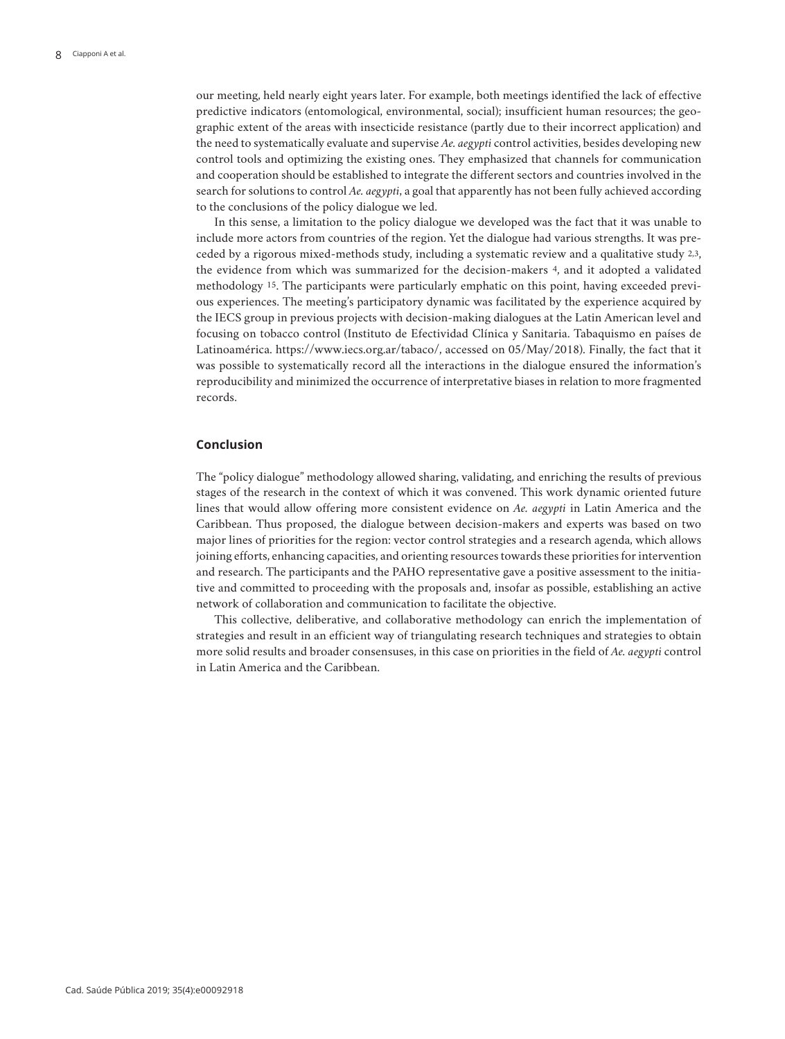our meeting, held nearly eight years later. For example, both meetings identified the lack of effective predictive indicators (entomological, environmental, social); insufficient human resources; the geographic extent of the areas with insecticide resistance (partly due to their incorrect application) and the need to systematically evaluate and supervise *Ae. aegypti* control activities, besides developing new control tools and optimizing the existing ones. They emphasized that channels for communication and cooperation should be established to integrate the different sectors and countries involved in the search for solutions to control *Ae. aegypti*, a goal that apparently has not been fully achieved according to the conclusions of the policy dialogue we led.

In this sense, a limitation to the policy dialogue we developed was the fact that it was unable to include more actors from countries of the region. Yet the dialogue had various strengths. It was preceded by a rigorous mixed-methods study, including a systematic review and a qualitative study 2,3, the evidence from which was summarized for the decision-makers 4, and it adopted a validated methodology 15. The participants were particularly emphatic on this point, having exceeded previous experiences. The meeting's participatory dynamic was facilitated by the experience acquired by the IECS group in previous projects with decision-making dialogues at the Latin American level and focusing on tobacco control (Instituto de Efectividad Clínica y Sanitaria. Tabaquismo en países de Latinoamérica. https://www.iecs.org.ar/tabaco/, accessed on 05/May/2018). Finally, the fact that it was possible to systematically record all the interactions in the dialogue ensured the information's reproducibility and minimized the occurrence of interpretative biases in relation to more fragmented records.

# **Conclusion**

The "policy dialogue" methodology allowed sharing, validating, and enriching the results of previous stages of the research in the context of which it was convened. This work dynamic oriented future lines that would allow offering more consistent evidence on *Ae. aegypti* in Latin America and the Caribbean. Thus proposed, the dialogue between decision-makers and experts was based on two major lines of priorities for the region: vector control strategies and a research agenda, which allows joining efforts, enhancing capacities, and orienting resources towards these priorities for intervention and research. The participants and the PAHO representative gave a positive assessment to the initiative and committed to proceeding with the proposals and, insofar as possible, establishing an active network of collaboration and communication to facilitate the objective.

This collective, deliberative, and collaborative methodology can enrich the implementation of strategies and result in an efficient way of triangulating research techniques and strategies to obtain more solid results and broader consensuses, in this case on priorities in the field of *Ae. aegypti* control in Latin America and the Caribbean.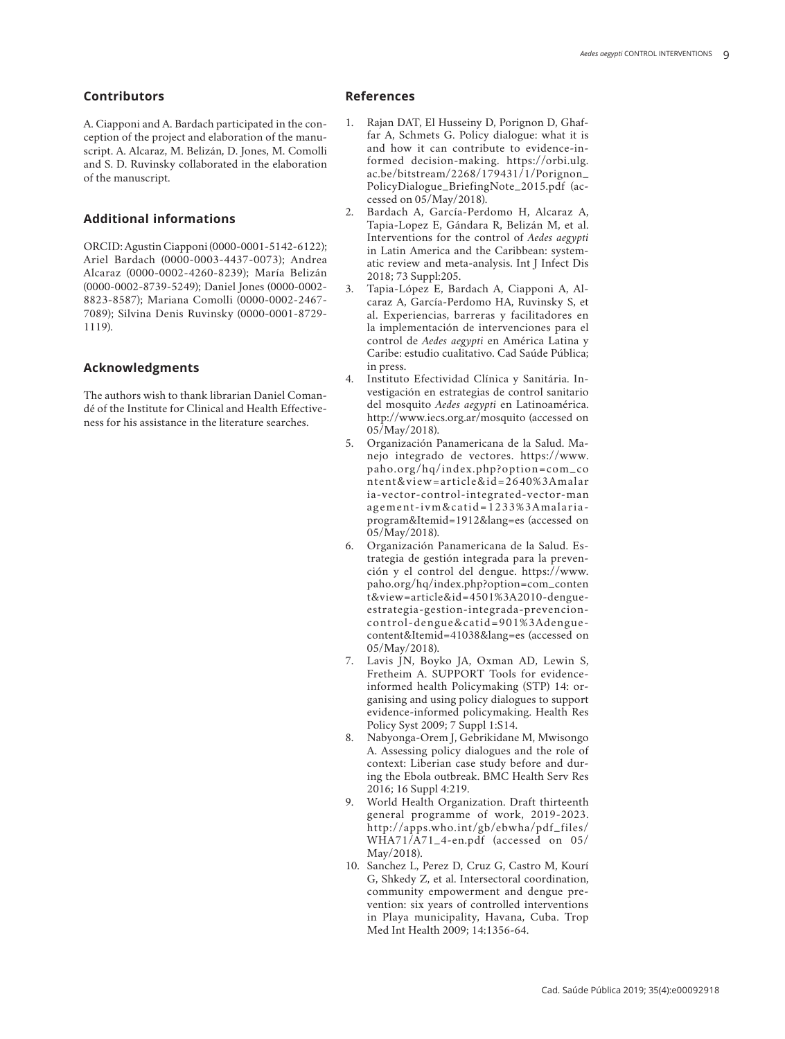## **Contributors**

A. Ciapponi and A. Bardach participated in the con ception of the project and elaboration of the manu script. A. Alcaraz, M. Belizán, D. Jones, M. Comolli and S. D. Ruvinsky collaborated in the elaboration of the manuscript.

## **Additional informations**

ORCID: Agustin Ciapponi (0000-0001-5142-6122); Ariel Bardach (0000-0003-4437-0073); Andrea Alcaraz (0000-0002-4260-8239); María Belizán (0000-0002-8739-5249); Daniel Jones (0000-0002- 8823-8587); Mariana Comolli (0000-0002-2467- 7089); Silvina Denis Ruvinsky (0000-0001-8729- 1119).

## **Acknowledgments**

The authors wish to thank librarian Daniel Coman dé of the Institute for Clinical and Health Effective ness for his assistance in the literature searches.

## **References**

- 1. Rajan DAT, El Husseiny D, Porignon D, Ghaf far A, Schmets G. Policy dialogue: what it is and how it can contribute to evidence-in formed decision-making. https://orbi.ulg. ac.be/bitstream/2268/179431/1/Porignon\_ PolicyDialogue\_BriefingNote\_2015.pdf (ac cessed on 05/May/2018).
- 2. Bardach A, García-Perdomo H, Alcaraz A, Tapia-Lopez E, Gándara R, Belizán M, et al. Interventions for the control of *Aedes aegypti*  in Latin America and the Caribbean: system atic review and meta-analysis. Int J Infect Dis 2018; 73 Suppl:205.
- 3. Tapia-López E, Bardach A, Ciapponi A, Al caraz A, García-Perdomo HA, Ruvinsky S, et al. Experiencias, barreras y facilitadores en la implementación de intervenciones para el control de *Aedes aegypti* en América Latina y Caribe: estudio cualitativo. Cad Saúde Pública; in press.
- 4. Instituto Efectividad Clínica y Sanitária. In vestigación en estrategias de control sanitario del mosquito *Aedes aegypti* en Latinoamérica. http://www.iecs.org.ar/mosquito (accessed on 05/May/2018).
- 5. Organización Panamericana de la Salud. Ma nejo integrado de vectores. https://www. paho.org/hq/index.php?option=com\_co ntent&view=article&id=2640%3Amalar ia-vector-control-integrated-vector-man agement-ivm&catid=1233%3Amalariaprogram&Itemid=1912&lang=es (accessed on 05/May/2018).
- 6. Organización Panamericana de la Salud. Es trategia de gestión integrada para la preven ción y el control del dengue. https://www. paho.org/hq/index.php?option=com\_conten t&view=article&id=4501%3A2010-dengueestrategia-gestion-integrada-prevencioncontrol-dengue&catid=901%3Adenguecontent&Itemid=41038&lang=es (accessed on 05/May/2018).
- 7. Lavis JN, Boyko JA, Oxman AD, Lewin S, Fretheim A. SUPPORT Tools for evidenceinformed health Policymaking (STP) 14: organising and using policy dialogues to support evidence-informed policymaking. Health Res Policy Syst 2009; 7 Suppl 1:S14.
- 8. Nabyonga-Orem J, Gebrikidane M, Mwisongo A. Assessing policy dialogues and the role of context: Liberian case study before and dur ing the Ebola outbreak. BMC Health Serv Res 2016; 16 Suppl 4:219.
- 9. World Health Organization. Draft thirteenth general programme of work, 2019-2023. http://apps.who.int/gb/ebwha/pdf\_files/ WHA71/A71\_4-en.pdf (accessed on 05/ May/2018).
- 10. Sanchez L, Perez D, Cruz G, Castro M, Kourí G, Shkedy Z, et al. Intersectoral coordination, community empowerment and dengue pre vention: six years of controlled interventions in Playa municipality, Havana, Cuba. Trop Med Int Health 2009; 14:1356-64.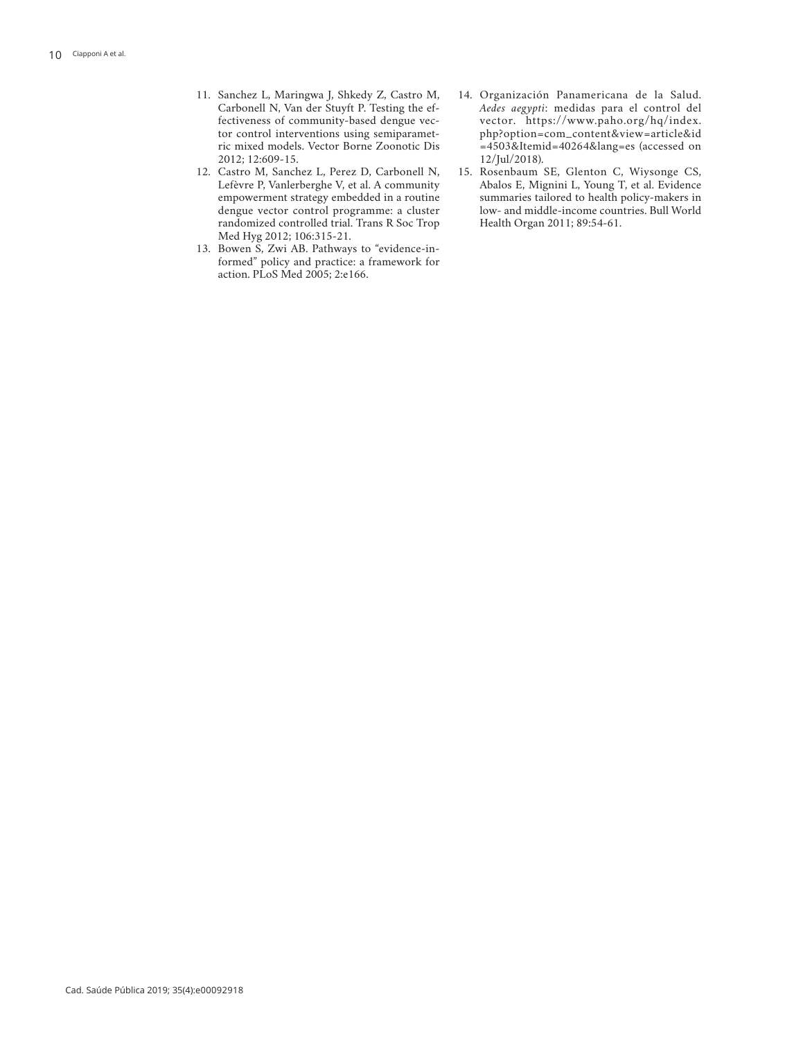- 11. Sanchez L, Maringwa J, Shkedy Z, Castro M, Carbonell N, Van der Stuyft P. Testing the effectiveness of community-based dengue vector control interventions using semiparametric mixed models. Vector Borne Zoonotic Dis 2012; 12:609-15.
- 12. Castro M, Sanchez L, Perez D, Carbonell N, Lefèvre P, Vanlerberghe V, et al. A community empowerment strategy embedded in a routine dengue vector control programme: a cluster randomized controlled trial. Trans R Soc Trop Med Hyg 2012; 106:315-21.
- 13. Bowen S, Zwi AB. Pathways to "evidence-informed" policy and practice: a framework for action. PLoS Med 2005; 2:e166.
- 14. Organización Panamericana de la Salud. *Aedes aegypti*: medidas para el control del vector. https://www.paho.org/hq/index. php?option=com\_content&view=article&id =4503&Itemid=40264&lang=es (accessed on 12/Jul/2018).
- 15. Rosenbaum SE, Glenton C, Wiysonge CS, Abalos E, Mignini L, Young T, et al. Evidence summaries tailored to health policy-makers in low- and middle-income countries. Bull World Health Organ 2011; 89:54-61.